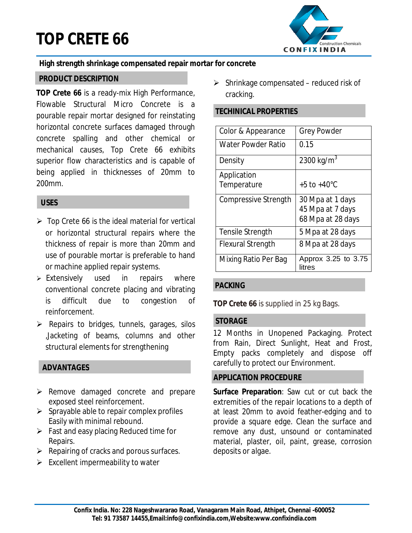# **TOP CRETE 66**



#### **High strength shrinkage compensated repair mortar for concrete**

#### **PRODUCT DESCRIPTION**

**TOP Crete 66** is a ready-mix High Performance, Flowable Structural Micro Concrete is a pourable repair mortar designed for reinstating horizontal concrete surfaces damaged through concrete spalling and other chemical or mechanical causes, Top Crete 66 exhibits superior flow characteristics and is capable of being applied in thicknesses of 20mm to 200mm.

# **USES**

- $\triangleright$  Top Crete 66 is the ideal material for vertical or horizontal structural repairs where the thickness of repair is more than 20mm and use of pourable mortar is preferable to hand or machine applied repair systems.
- $\triangleright$  Extensively used in repairs where conventional concrete placing and vibrating is difficult due to congestion of reinforcement.
- $\triangleright$  Repairs to bridges, tunnels, garages, silos ,Jacketing of beams, columns and other structural elements for strengthening

# **ADVANTAGES**

- $\triangleright$  Remove damaged concrete and prepare exposed steel reinforcement.
- $\triangleright$  Sprayable able to repair complex profiles Easily with minimal rebound.
- $\triangleright$  Fast and easy placing Reduced time for Repairs.
- $\triangleright$  Repairing of cracks and porous surfaces.
- $\triangleright$  Excellent impermeability to water

 $\triangleright$  Shrinkage compensated – reduced risk of cracking.

## **TECHINICAL PROPERTIES**

| Color & Appearance          | <b>Grey Powder</b>            |
|-----------------------------|-------------------------------|
| <b>Water Powder Ratio</b>   | 0.15                          |
| Density                     | 2300 kg/m <sup>3</sup>        |
| Application                 |                               |
| Temperature                 | $+5$ to $+40^{\circ}$ C       |
| <b>Compressive Strength</b> | 30 Mpa at 1 days              |
|                             | 45 Mpa at 7 days              |
|                             | 68 Mpa at 28 days             |
| <b>Tensile Strength</b>     | 5 Mpa at 28 days              |
| <b>Flexural Strength</b>    | 8 Mpa at 28 days              |
| Mixing Ratio Per Bag        | Approx 3.25 to 3.75<br>litres |

#### **PACKING**

**TOP Crete 66** is supplied in 25 kg Bags.

#### **STORAGE**

12 Months in Unopened Packaging. Protect from Rain, Direct Sunlight, Heat and Frost, Empty packs completely and dispose off carefully to protect our Environment.

#### **APPLICATION PROCEDURE**

**Surface Preparation**: Saw cut or cut back the extremities of the repair locations to a depth of at least 20mm to avoid feather-edging and to provide a square edge. Clean the surface and remove any dust, unsound or contaminated material, plaster, oil, paint, grease, corrosion deposits or algae.